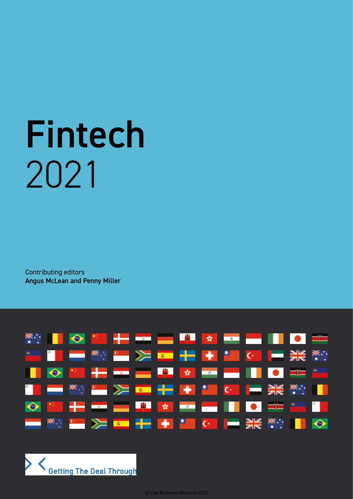# Fintech 2021

Contributing editors Angus McLean and Penny Miller



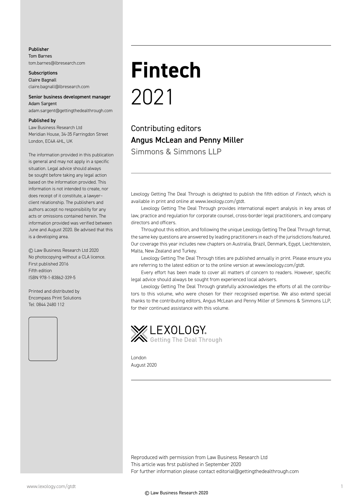#### Publisher

Tom Barnes tom.barnes@lbresearch.com

**Subscriptions** Claire Bagnall claire.bagnall@lbresearch.com

#### Senior business development manager Adam Sargent

adam.sargent@gettingthedealthrough.com

#### Published by

Law Business Research Ltd Meridian House, 34-35 Farringdon Street London, EC4A 4HL, UK

The information provided in this publication is general and may not apply in a specific situation. Legal advice should always be sought before taking any legal action based on the information provided. This information is not intended to create, nor does receipt of it constitute, a lawyer– client relationship. The publishers and authors accept no responsibility for any acts or omissions contained herein. The information provided was verified between June and August 2020. Be advised that this is a developing area.

© Law Business Research Ltd 2020 No photocopying without a CLA licence. First published 2016 Fifth edition ISBN 978-1-83862-339-5

Printed and distributed by Encompass Print Solutions Tel: 0844 2480 112



## **Fintech** 2021

Contributing editors Angus McLean and Penny Miller Simmons & Simmons LLP

Lexology Getting The Deal Through is delighted to publish the fifth edition of *Fintech*, which is available in print and online at www.lexology.com/gtdt.

Lexology Getting The Deal Through provides international expert analysis in key areas of law, practice and regulation for corporate counsel, cross-border legal practitioners, and company directors and officers.

Throughout this edition, and following the unique Lexology Getting The Deal Through format, the same key questions are answered by leading practitioners in each of the jurisdictions featured. Our coverage this year includes new chapters on Australia, Brazil, Denmark, Egypt, Liechtenstein, Malta, New Zealand and Turkey.

Lexology Getting The Deal Through titles are published annually in print. Please ensure you are referring to the latest edition or to the online version at www.lexology.com/gtdt.

Every effort has been made to cover all matters of concern to readers. However, specific legal advice should always be sought from experienced local advisers.

Lexology Getting The Deal Through gratefully acknowledges the efforts of all the contributors to this volume, who were chosen for their recognised expertise. We also extend special thanks to the contributing editors, Angus McLean and Penny Miller of Simmons & Simmons LLP, for their continued assistance with this volume.



London August 2020

Reproduced with permission from Law Business Research Ltd This article was first published in September 2020 For further information please contact editorial@gettingthedealthrough.com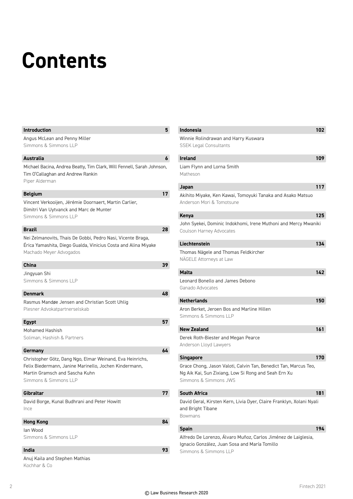### **Contents**

#### **Introduction 5**

| Angus McLean and Penny Miller |
|-------------------------------|
| Simmons & Simmons LLP         |

#### **Australia 6**

Michael Bacina, Andrea Beatty, Tim Clark, Will Fennell, Sarah Johnson, Tim O'Callaghan and Andrew Rankin Piper Alderman

#### **Belgium 17**

Vincent Verkooijen, Jérémie Doornaert, Martin Carlier, Dimitri Van Uytvanck and Marc de Munter Simmons & Simmons LLP

#### **Brazil 28**

Nei Zelmanovits, Thais De Gobbi, Pedro Nasi, Vicente Braga, Érica Yamashita, Diego Gualda, Vinicius Costa and Alina Miyake Machado Meyer Advogados

| <b>China</b>                                                                                                                                                                    | 39 |
|---------------------------------------------------------------------------------------------------------------------------------------------------------------------------------|----|
| Jingyuan Shi                                                                                                                                                                    |    |
| Simmons & Simmons LLP                                                                                                                                                           |    |
| <b>Denmark</b>                                                                                                                                                                  | 48 |
| Rasmus Mandøe Jensen and Christian Scott Uhlig<br>Plesner Advokatpartnerselskab                                                                                                 |    |
| <b>Egypt</b>                                                                                                                                                                    | 57 |
| Mohamed Hashish                                                                                                                                                                 |    |
| Soliman, Hashish & Partners                                                                                                                                                     |    |
| Germany                                                                                                                                                                         | 64 |
| Christopher Götz, Dang Ngo, Elmar Weinand, Eva Heinrichs,<br>Felix Biedermann, Janine Marinello, Jochen Kindermann,<br>Martin Gramsch and Sascha Kuhn<br>Simmons & Simmons II P |    |
| Gibraltar                                                                                                                                                                       | 77 |
| David Borge, Kunal Budhrani and Peter Howitt<br>Ince                                                                                                                            |    |

#### **Hong Kong 84**

Ian Wood Simmons & Simmons LLP

#### **India 93**

Anuj Kaila and Stephen Mathias Kochhar & Co

| <b>Indonesia</b>                                                                                                                                  | 102 |
|---------------------------------------------------------------------------------------------------------------------------------------------------|-----|
| Winnie Rolindrawan and Harry Kuswara<br><b>SSEK Legal Consultants</b>                                                                             |     |
| <b>Ireland</b>                                                                                                                                    | 109 |
| Liam Flynn and Lorna Smith<br>Matheson                                                                                                            |     |
| Japan                                                                                                                                             | 117 |
| Akihito Miyake, Ken Kawai, Tomoyuki Tanaka and Asako Matsuo<br>Anderson Mori & Tomotsune                                                          |     |
| <b>Kenya</b>                                                                                                                                      | 125 |
| John Syekei, Dominic Indokhomi, Irene Muthoni and Mercy Mwaniki<br>Coulson Harney Advocates                                                       |     |
| Liechtenstein                                                                                                                                     | 134 |
| Thomas Nägele and Thomas Feldkircher<br>NÄGELE Attorneys at Law                                                                                   |     |
| <b>Malta</b>                                                                                                                                      | 142 |
| Leonard Bonello and James Debono<br>Ganado Advocates                                                                                              |     |
| <b>Netherlands</b>                                                                                                                                | 150 |
| Aron Berket, Jeroen Bos and Marline Hillen<br>Simmons & Simmons LLP                                                                               |     |
| <b>New Zealand</b>                                                                                                                                | 161 |
| Derek Roth-Biester and Megan Pearce<br>Anderson Lloyd Lawyers                                                                                     |     |
| <b>Singapore</b>                                                                                                                                  | 170 |
| Grace Chong, Jason Valoti, Calvin Tan, Benedict Tan, Marcus Teo,<br>Ng Aik Kai, Sun Zixiang, Low Si Rong and Seah Ern Xu<br>Simmons & Simmons JWS |     |
| <b>South Africa</b>                                                                                                                               | 181 |
| David Geral, Kirsten Kern, Livia Dyer, Claire Franklyn, Xolani Nyali<br>and Bright Tibane<br><b>Bowmans</b>                                       |     |
| <b>Spain</b>                                                                                                                                      | 194 |
| Alfredo De Lorenzo, Álvaro Muñoz, Carlos Jiménez de Laiglesia,<br>Ignacio González, Juan Sosa and María Tomillo                                   |     |

Simmons & Simmons LLP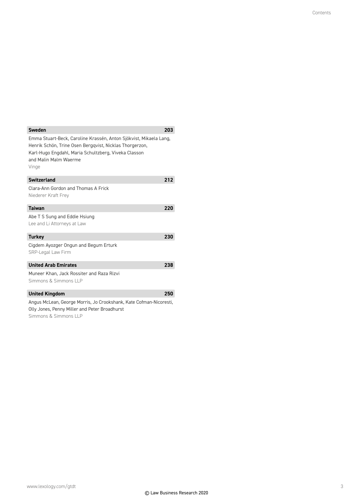| <b>Sweden</b>                                                                                                                                                                                                          | 203 |
|------------------------------------------------------------------------------------------------------------------------------------------------------------------------------------------------------------------------|-----|
| Emma Stuart-Beck, Caroline Krassén, Anton Sjökvist, Mikaela Lang,<br>Henrik Schön, Trine Osen Bergqvist, Nicklas Thorgerzon,<br>Karl-Hugo Engdahl, Maria Schultzberg, Viveka Classon<br>and Malin Malm Waerme<br>Vinge |     |
| <b>Switzerland</b>                                                                                                                                                                                                     | 212 |
| Clara-Ann Gordon and Thomas A Frick<br>Niederer Kraft Frey                                                                                                                                                             |     |
| <b>Taiwan</b>                                                                                                                                                                                                          | 220 |
| Abe T S Sung and Eddie Hsiung<br>Lee and Li Attorneys at Law                                                                                                                                                           |     |
| <b>Turkey</b>                                                                                                                                                                                                          | 230 |
| Cigdem Ayozger Ongun and Begum Erturk<br>SRP-Legal Law Firm                                                                                                                                                            |     |
| <b>United Arab Emirates</b>                                                                                                                                                                                            | 238 |
| Muneer Khan, Jack Rossiter and Raza Rizvi<br>Simmons & Simmons II P                                                                                                                                                    |     |
| <b>United Kingdom</b>                                                                                                                                                                                                  | 250 |
| Angus McLean, George Morris, Jo Crookshank, Kate Cofman-Nicoresti,<br>Olly Jones, Penny Miller and Peter Broadhurst                                                                                                    |     |

Simmons & Simmons LLP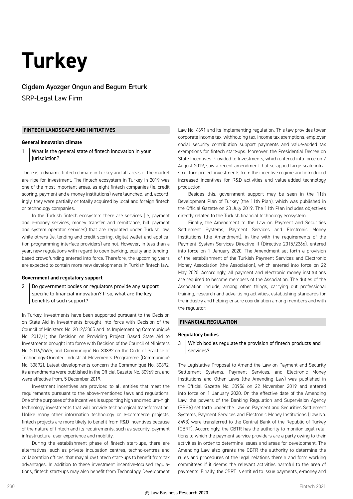### **Turkey**

Cigdem Ayozger Ongun and Begum Erturk SRP-Legal Law Firm

#### **FINTECH LANDSCAPE AND INITIATIVES**

#### **General innovation climate**

1 What is the general state of fintech innovation in your jurisdiction?

There is a dynamic fintech climate in Turkey and all areas of the market are ripe for investment. The fintech ecosystem in Turkey in 2019 was one of the most important areas, as eight fintech companies (ie, credit scoring, payment and e-money institutions) were launched, and, accordingly, they were partially or totally acquired by local and foreign fintech or technology companies.

In the Turkish fintech ecosystem there are services (ie, payment and e-money services, money transfer and remittance, bill payment and system operator services) that are regulated under Turkish law, while others (ie, lending and credit scoring, digital wallet and application programming interface providers) are not. However, in less than a year, new regulations with regard to open banking, equity and lendingbased crowdfunding entered into force. Therefore, the upcoming years are expected to contain more new developments in Turkish fintech law.

#### **Government and regulatory support**

2 Do government bodies or regulators provide any support specific to financial innovation? If so, what are the key benefits of such support?

In Turkey, investments have been supported pursuant to the Decision on State Aid in Investments brought into force with Decision of the Council of Ministers No. 2012/3305 and its Implementing Communiqué No. 2012/1; the Decision on Providing Project Based State Aid to Investments brought into force with Decision of the Council of Ministers No. 2016/9495; and Communiqué No. 30892 on the Code of Practice of Technology-Oriented Industrial Movements Programme (Communiqué No. 30892). Latest developments concern the Communiqué No. 30892: its amendments were published in the Official Gazette No. 30969 on, and were effective from, 5 December 2019.

Investment incentives are provided to all entities that meet the requirements pursuant to the above-mentioned laws and regulations. One of the purposes of the incentives is supporting high and medium-high technology investments that will provide technological transformation. Unlike many other information technology or e-commerce projects, fintech projects are more likely to benefit from R&D incentives because of the nature of fintech and its requirements, such as security, payment infrastructure, user experience and mobility.

During the establishment phase of fintech start-ups, there are alternatives, such as private incubation centres, techno-centres and collaboration offices, that may allow fintech start-ups to benefit from tax advantages. In addition to these investment incentive-focused regulations, fintech start-ups may also benefit from Technology Development

Law No. 4691 and its implementing regulation. This law provides lower corporate income tax, withholding tax, income tax exemptions, employer social security contribution support payments and value-added tax exemptions for fintech start-ups. Moreover, the Presidential Decree on State Incentives Provided to Investments, which entered into force on 7 August 2019, saw a recent amendment that scrapped large-scale infrastructure project investments from the incentive regime and introduced increased incentives for R&D activities and value-added technology production.

Besides this, government support may be seen in the 11th Development Plan of Turkey (the 11th Plan), which was published in the Official Gazette on 23 July 2019. The 11th Plan includes objectives directly related to the Turkish financial technology ecosystem.

Finally, the Amendment to the Law on Payment and Securities Settlement Systems, Payment Services and Electronic Money Institutions (the Amendment), in line with the requirements of the Payment System Services Directive II (Directive 2015/2366), entered into force on 1 January 2020. The Amendment set forth a provision of the establishment of the Turkish Payment Services and Electronic Money Association (the Association), which entered into force on 22 May 2020. Accordingly, all payment and electronic money institutions are required to become members of the Association. The duties of the Association include, among other things, carrying out professional training, research and advertising activities, establishing standards for the industry and helping ensure coordination among members and with the regulator.

#### **FINANCIAL REGULATION**

#### **Regulatory bodies**

3 Which bodies regulate the provision of fintech products and services?

The Legislative Proposal to Amend the Law on Payment and Security Settlement Systems, Payment Services, and Electronic Money Institutions and Other Laws (the Amending Law) was published in the Official Gazette No. 30956 on 22 November 2019 and entered into force on 1 January 2020. On the effective date of the Amending Law, the powers of the Banking Regulation and Supervision Agency (BRSA) set forth under the Law on Payment and Securities Settlement Systems, Payment Services and Electronic Money Institutions (Law No. 6493) were transferred to the Central Bank of the Republic of Turkey (CBRT). Accordingly, the CBTR has the authority to monitor legal relations to which the payment service providers are a party owing to their activities in order to determine issues and areas for development. The Amending Law also grants the CBTR the authority to determine the rules and procedures of the legal relations therein and form working committees if it deems the relevant activities harmful to the area of payments. Finally, the CBRT is entitled to issue payments, e-money and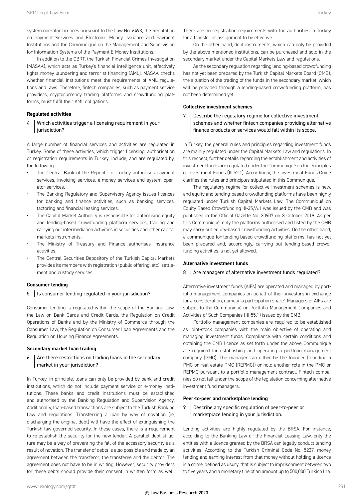system operator licences pursuant to the Law No. 6493, the Regulation on Payment Services and Electronic Money Issuance and Payment Institutions and the Communiqué on the Management and Supervision for Information Systems of the Payment E-Money Institutions.

In addition to the CBRT, the Turkish Financial Crimes Investigation (MASAK), which acts as Turkey's financial intelligence unit, effectively fights money laundering and terrorist financing (AML). MASAK checks whether financial institutions meet the requirements of AML regulations and laws. Therefore, fintech companies, such as payment service providers, cryptocurrency trading platforms and crowdfunding platforms, must fulfil their AML obligations.

#### **Regulated activities**

#### 4 Which activities trigger a licensing requirement in your jurisdiction?

A large number of financial services and activities are regulated in Turkey. Some of these activities, which trigger licensing, authorisation or registration requirements in Turkey, include, and are regulated by, the following.

- The Central Bank of the Republic of Turkey authorises payment services, invoicing services, e-money services and system operator services.
- The Banking Regulatory and Supervisory Agency issues licences for banking and finance activities, such as banking services, factoring and financial leasing services.
- The Capital Market Authority is responsible for authorising equity and lending-based crowdfunding platform services, trading and carrying out intermediation activities in securities and other capital markets instruments.
- The Ministry of Treasury and Finance authorises insurance activities.
- The Central Securities Depository of the Turkish Capital Markets provides its members with registration (public offering, etc), settlement and custody services.

#### **Consumer lending**

#### 5 | Is consumer lending regulated in your jurisdiction?

Consumer lending is regulated within the scope of the Banking Law, the Law on Bank Cards and Credit Cards, the Regulation on Credit Operations of Banks and by the Ministry of Commerce through the Consumer Law, the Regulation on Consumer Loan Agreements and the Regulation on Housing Finance Agreements.

#### **Secondary market loan trading**

 $6$  Are there restrictions on trading loans in the secondary market in your jurisdiction?

In Turkey, in principle, loans can only be provided by bank and credit institutions, which do not include payment service or e-money institutions. These banks and credit institutions must be established and authorised by the Banking Regulation and Supervision Agency. Additionally, loan-based transactions are subject to the Turkish Banking Law and regulations. Transferring a loan by way of novation (ie, discharging the original debt) will have the effect of extinguishing the Turkish law-governed security. In these cases, there is a requirement to re-establish the security for the new lender. A parallel debt structure may be a way of preventing the fall of the accessory security as a result of novation. The transfer of debts is also possible and made by an agreement between the transferor, the transferee and the debtor. The agreement does not have to be in writing. However, security providers for these debts should provide their consent in written form as well.

On the other hand, debt instruments, which can only be provided by the above-mentioned institutions, can be purchased and sold in the secondary market under the Capital Markets Law and regulations.

As the secondary regulation regarding lending-based crowdfunding has not yet been prepared by the Turkish Capital Markets Board (CMB), the situation of the trading of the funds in the secondary market, which will be provided through a lending-based crowdfunding platform, has not been determined yet.

#### **Collective investment schemes**

#### 7 | Describe the regulatory regime for collective investment schemes and whether fintech companies providing alternative finance products or services would fall within its scope.

In Turkey, the general rules and principles regarding investment funds are mainly regulated under the Capital Markets Law and regulations. In this respect, further details regarding the establishment and activities of investment funds are regulated under the Communiqué on the Principles of Investment Funds (III.52.1). Accordingly, the Investment Funds Guide clarifies the rules and principles stipulated in this Communiqué.

The regulatory regime for collective investment schemes is new, and equity and lending-based crowdfunding platforms have been highly regulated under Turkish Capital Markets Law. The Communiqué on Equity Based Crowdfunding III-35/A.1 was issued by the CMB and was published in the Official Gazette No. 30907 on 3 October 2019. As per this Communiqué, only the platforms authorised and listed by the CMB may carry out equity-based crowdfunding activities. On the other hand, a communiqué for lending-based crowdfunding platforms, has not yet been prepared and, accordingly, carrying out lending-based crowdfunding activities is not yet allowed.

#### **Alternative investment funds**

#### 8 Are managers of alternative investment funds regulated?

Alternative investment funds (AIFs) are operated and managed by portfolio management companies on behalf of their investors in exchange for a consideration, namely 'a participation share'. Managers of AIFs are subject to the Communiqué on Portfolio Management Companies and Activities of Such Companies (III-55.1) issued by the CMB.

Portfolio management companies are required to be established as joint-stock companies with the main objective of operating and managing investment funds. Compliance with certain conditions and obtaining the CMB licence as set forth under the above Communiqué are required for establishing and operating a portfolio management company (PMC). The manager can either be the founder (founding a PMC or real estate PMC (REPMC)) or hold another role in the PMC or REPMC pursuant to a portfolio management contract. Fintech companies do not fall under the scope of the legislation concerning alternative investment fund managers.

#### **Peer-to-peer and marketplace lending**

9 Describe any specific regulation of peer-to-peer or marketplace lending in your jurisdiction.

Lending activities are highly regulated by the BRSA. For instance, according to the Banking Law or the Financial Leasing Law, only the entities with a licence granted by the BRSA can legally conduct lending activities. According to the Turkish Criminal Code No. 5237, money lending and earning interest from that money without holding a licence is a crime, defined as usury, that is subject to imprisonment between two to five years and a monetary fine of an amount up to 500,000 Turkish lira.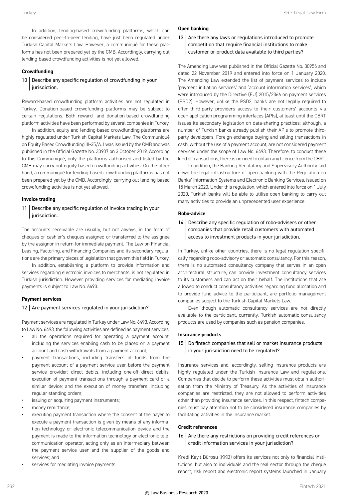In addition, lending-based crowdfunding platforms, which can be considered peer-to-peer lending, have just been regulated under Turkish Capital Markets Law. However, a communiqué for these platforms has not been prepared yet by the CMB. Accordingly, carrying out lending-based crowdfunding activities is not yet allowed.

#### **Crowdfunding**

#### 10 Describe any specific regulation of crowdfunding in your jurisdiction.

Reward-based crowdfunding platform activities are not regulated in Turkey. Donation-based crowdfunding platforms may be subject to certain regulations. Both reward- and donation-based crowdfunding platform activities have been performed by several companies in Turkey.

In addition, equity and lending-based crowdfunding platforms are highly regulated under Turkish Capital Markets Law. The Communiqué on Equity Based Crowdfunding III-35/A.1 was issued by the CMB and was published in the Official Gazette No. 30907 on 3 October 2019. According to this Communiqué, only the platforms authorised and listed by the CMB may carry out equity-based crowdfunding activities. On the other hand, a communiqué for lending-based crowdfunding platforms has not been prepared yet by the CMB. Accordingly, carrying out lending-based crowdfunding activities is not yet allowed.

#### **Invoice trading**

11 | Describe any specific regulation of invoice trading in your jurisdiction.

The accounts receivable are usually, but not always, in the form of cheques or cashier's cheques assigned or transferred to the assignee by the assignor in return for immediate payment. The Law on Financial Leasing, Factoring, and Financing Companies and its secondary regulations are the primary pieces of legislation that govern this field in Turkey.

In addition, establishing a platform to provide information and services regarding electronic invoices to merchants, is not regulated in Turkish jurisdiction. However providing services for mediating invoice payments is subject to Law No. 6493.

#### **Payment services**

#### 12 Are payment services regulated in your jurisdiction?

Payment services are regulated in Turkey under Law No. 6493. According to Law No. 6493, the following activities are defined as payment services:

- all the operations required for operating a payment account, including the services enabling cash to be placed on a payment account and cash withdrawals from a payment account;
- payment transactions, including transfers of funds from the payment account of a payment service user before the payment service provider; direct debits, including one-off direct debits, execution of payment transactions through a payment card or a similar device; and the execution of money transfers, including regular standing orders;
- issuing or acquiring payment instruments;
- money remittance;
- executing payment transaction where the consent of the payer to execute a payment transaction is given by means of any information technology or electronic telecommunication device and the payment is made to the information technology or electronic telecommunication operator, acting only as an intermediary between the payment service user and the supplier of the goods and services; and
- services for mediating invoice payments.

#### **Open banking**

13 Are there any laws or regulations introduced to promote competition that require financial institutions to make customer or product data available to third parties?

The Amending Law was published in the Official Gazette No. 30956 and dated 22 November 2019 and entered into force on 1 January 2020. The Amending Law extended the list of payment services to include 'payment initiation services' and 'account information services', which were introduced by the Directive (EU) 2015/2366 on payment services (PSD2). However, unlike the PSD2, banks are not legally required to offer third-party providers access to their customers' accounts via open application programming interfaces (APIs), at least until the CBRT issues its secondary legislation on data-sharing practices; although, a number of Turkish banks already publish their APIs to promote thirdparty developers. Foreign exchange buying and selling transactions in cash, without the use of a payment account, are not considered payment services under the scope of Law No. 6493. Therefore, to conduct these kind of transactions, there is no need to obtain any licence from the CBRT.

In addition, the Banking Regulatory and Supervisory Authority laid down the legal infrastructure of open banking with the Regulation on Banks' Information Systems and Electronic Banking Services, issued on 15 March 2020. Under this regulation, which entered into force on 1 July 2020, Turkish banks will be able to utilise open banking to carry out many activities to provide an unprecedented user experience.

#### **Robo-advice**

14 | Describe any specific regulation of robo-advisers or other companies that provide retail customers with automated access to investment products in your jurisdiction.

In Turkey, unlike other countries, there is no legal regulation specifically regarding robo-advisory or automatic consultancy. For this reason, there is no automated consultancy company that serves in an open architectural structure, can provide investment consultancy services to its customers and can act on their behalf. The institutions that are allowed to conduct consultancy activities regarding fund allocation and to provide fund advice to the participant, are portfolio management companies subject to the Turkish Capital Markets Law.

Even though automatic consultancy services are not directly available to the participant, currently, Turkish automatic consultancy products are used by companies such as pension companies.

#### **Insurance products**

#### 15 | Do fintech companies that sell or market insurance products in your jurisdiction need to be regulated?

Insurance services and, accordingly, selling insurance products are highly regulated under the Turkish Insurance Law and regulations. Companies that decide to perform these activities must obtain authorisation from the Ministry of Treasury. As the activities of insurance companies are restricted, they are not allowed to perform activities other than providing insurance services. In this respect, fintech companies must pay attention not to be considered insurance companies by facilitating activities in the insurance market.

#### **Credit references**

#### 16 Are there any restrictions on providing credit references or credit information services in your jurisdiction?

Kredi Kayıt Bürosu (KKB) offers its services not only to financial institutions, but also to individuals and the real sector through the cheque report, risk report and electronic report systems launched in January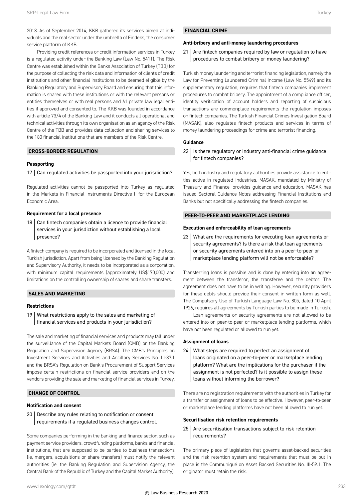2013. As of September 2014, KKB gathered its services aimed at individuals and the real sector under the umbrella of Findeks, the consumer service platform of KKB.

Providing credit references or credit information services in Turkey is a regulated activity under the Banking Law (Law No. 5411). The Risk Centre was established within the Banks Association of Turkey (TBB) for the purpose of collecting the risk data and information of clients of credit institutions and other financial institutions to be deemed eligible by the Banking Regulatory and Supervisory Board and ensuring that this information is shared with these institutions or with the relevant persons or entities themselves or with real persons and 61 private law legal entities if approved and consented to. The KKB was founded in accordance with article 73/4 of the Banking Law and it conducts all operational and technical activities through its own organisation as an agency of the Risk Centre of the TBB and provides data collection and sharing services to the 180 financial institutions that are members of the Risk Centre.

#### **CROSS-BORDER REGULATION**

#### **Passporting**

#### $17$  Can regulated activities be passported into your jurisdiction?

Regulated activities cannot be passported into Turkey as regulated in the Markets in Financial Instruments Directive II for the European Economic Area.

#### **Requirement for a local presence**

 $18$  Can fintech companies obtain a licence to provide financial services in your jurisdiction without establishing a local presence?

A fintech company is required to be incorporated and licensed in the local Turkish jurisdiction. Apart from being licensed by the Banking Regulation and Supervisory Authority, it needs to be incorporated as a corporation, with minimum capital requirements (approximately US\$170,000) and limitations on the controlling ownership of shares and share transfers.

#### **SALES AND MARKETING**

#### **Restrictions**

19 What restrictions apply to the sales and marketing of financial services and products in your jurisdiction?

The sale and marketing of financial services and products may fall under the surveillance of the Capital Markets Board (CMB) or the Banking Regulation and Supervision Agency (BRSA). The CMB's Principles on Investment Services and Activities and Ancillary Services No. III-37.1 and the BRSA's Regulation on Bank's Procurement of Support Services impose certain restrictions on financial service providers and on the vendors providing the sale and marketing of financial services in Turkey.

#### **CHANGE OF CONTROL**

#### **Notification and consent**

20 Describe any rules relating to notification or consent requirements if a regulated business changes control.

Some companies performing in the banking and finance sector, such as payment service providers, crowdfunding platforms, banks and financial institutions, that are supposed to be parties to business transactions (ie, mergers, acquisitions or share transfers) must notify the relevant authorities (ie, the Banking Regulation and Supervision Agency, the Central Bank of the Republic of Turkey and the Capital Market Authority).

#### **Anti-bribery and anti-money laundering procedures**

21 Are fintech companies required by law or regulation to have procedures to combat bribery or money laundering?

Turkish money laundering and terrorist financing legislation, namely the Law for Preventing Laundered Criminal Income (Law No. 5549) and its supplementary regulation, requires that fintech companies implement procedures to combat bribery. The appointment of a compliance officer, identity verification of account holders and reporting of suspicious transactions are commonplace requirements the regulation imposes on fintech companies. The Turkish Financial Crimes Investigation Board (MASAK), also regulates fintech products and services in terms of money laundering proceedings for crime and terrorist financing.

#### **Guidance**

 $22$  | Is there regulatory or industry anti-financial crime guidance for fintech companies?

Yes, both industry and regulatory authorities provide assistance to entities active in regulated industries. MASAK, mandated by Ministry of Treasury and Finance, provides guidance and education. MASAK has issued Sectoral Guidance Notes addressing Financial Institutions and Banks but not specifically addressing the fintech companies.

#### **PEER-TO-PEER AND MARKETPLACE LENDING**

#### **Execution and enforceability of loan agreements**

23 What are the requirements for executing loan agreements or security agreements? Is there a risk that loan agreements or security agreements entered into on a peer-to-peer or marketplace lending platform will not be enforceable?

Transferring loans is possible and is done by entering into an agreement between the transferor, the transferee and the debtor. The agreement does not have to be in writing. However, security providers for these debts should provide their consent in written form as well. The Compulsory Use of Turkish Language Law No. 805, dated 10 April 1926, requires all agreements by Turkish parties to be made in Turkish.

Loan agreements or security agreements are not allowed to be entered into on peer-to-peer or marketplace lending platforms, which have not been regulated or allowed to run yet.

#### **Assignment of loans**

24 What steps are required to perfect an assignment of loans originated on a peer-to-peer or marketplace lending platform? What are the implications for the purchaser if the assignment is not perfected? Is it possible to assign these loans without informing the borrower?

There are no registration requirements with the authorities in Turkey for a transfer or assignment of loans to be effective. However, peer-to-peer or marketplace lending platforms have not been allowed to run yet.

#### **Securitisation risk retention requirements**

 $25$  Are securitisation transactions subject to risk retention requirements?

The primary piece of legislation that governs asset-backed securities and the risk retention system and requirements that must be put in place is the Communiqué on Asset Backed Securities No. III-59.1. The originator must retain the risk.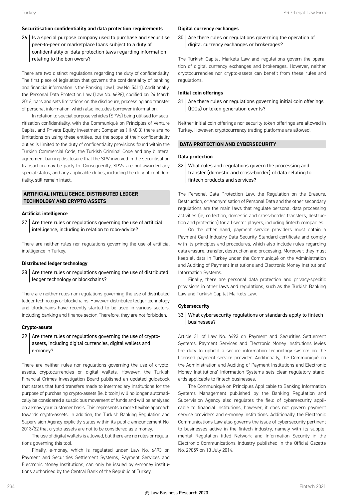#### **Securitisation confidentiality and data protection requirements**

26 | Is a special purpose company used to purchase and securitise peer-to-peer or marketplace loans subject to a duty of confidentiality or data protection laws regarding information relating to the borrowers?

There are two distinct regulations regarding the duty of confidentiality. The first piece of legislation that governs the confidentiality of banking and financial information is the Banking Law (Law No. 5411). Additionally, the Personal Data Protection Law (Law No. 6698), codified on 24 March 2016, bars and sets limitations on the disclosure, processing and transfer of personal information, which also includes borrower information.

In relation to special purpose vehicles (SPVs) being utilised for securitisation confidentiality, with the Communiqué on Principles of Venture Capital and Private Equity Investment Companies (III-48.3) there are no limitations on using these entities, but the scope of their confidentiality duties is limited to the duty of confidentiality provisions found within the Turkish Commercial Code, the Turkish Criminal Code and any bilateral agreement barring disclosure that the SPV involved in the securitisation transaction may be party to. Consequently, SPVs are not awarded any special status, and any applicable duties, including the duty of confidentiality, still remain intact.

#### **ARTIFICIAL INTELLIGENCE, DISTRIBUTED LEDGER TECHNOLOGY AND CRYPTO-ASSETS**

#### **Artificial intelligence**

 $27$  Are there rules or regulations governing the use of artificial intelligence, including in relation to robo-advice?

There are neither rules nor regulations governing the use of artificial intelligence in Turkey.

#### **Distributed ledger technology**

28 Are there rules or regulations governing the use of distributed ledger technology or blockchains?

There are neither rules nor regulations governing the use of distributed ledger technology or blockchains. However, distributed ledger technology and blockchains have recently started to be used in various sectors, including banking and finance sector. Therefore, they are not forbidden.

#### **Crypto-assets**

 $29$  Are there rules or regulations governing the use of cryptoassets, including digital currencies, digital wallets and e-money?

There are neither rules nor regulations governing the use of cryptoassets, cryptocurrencies or digital wallets. However, the Turkish Financial Crimes Investigation Board published an updated guidebook that states that fund transfers made to intermediary institutions for the purpose of purchasing crypto-assets (ie, bitcoin) will no longer automatically be considered a suspicious movement of funds and will be analysed on a know your customer basis. This represents a more flexible approach towards crypto-assets. In addition, the Turkish Banking Regulation and Supervision Agency explicitly states within its public announcement No. 2013/32 that crypto-assets are not to be considered as e-money.

The use of digital wallets is allowed, but there are no rules or regulations governing this tool.

Finally, e-money, which is regulated under Law No. 6493 on Payment and Securities Settlement Systems, Payment Services and Electronic Money Institutions, can only be issued by e-money institutions authorised by the Central Bank of the Republic of Turkey.

#### **Digital currency exchanges**

30 Are there rules or regulations governing the operation of digital currency exchanges or brokerages?

The Turkish Capital Markets Law and regulations govern the operation of digital currency exchanges and brokerages. However, neither cryptocurrencies nor crypto-assets can benefit from these rules and regulations.

#### **Initial coin offerings**

 $31$  Are there rules or regulations governing initial coin offerings (ICOs) or token generation events?

Neither initial coin offerings nor security token offerings are allowed in Turkey. However, cryptocurrency trading platforms are allowed.

#### **DATA PROTECTION AND CYBERSECURITY**

#### **Data protection**

32 What rules and regulations govern the processing and transfer (domestic and cross-border) of data relating to fintech products and services?

The Personal Data Protection Law, the Regulation on the Erasure, Destruction, or Anonymisation of Personal Data and the other secondary regulations are the main laws that regulate personal data processing activities (ie, collection, domestic and cross-border transfers, destruction and protection) for all sector players, including fintech companies.

On the other hand, payment service providers must obtain a Payment Card Industry Data Security Standard certificate and comply with its principles and procedures, which also include rules regarding data erasure, transfer, destruction and processing. Moreover, they must keep all data in Turkey under the Communiqué on the Administration and Auditing of Payment Institutions and Electronic Money Institutions' Information Systems.

Finally, there are personal data protection and privacy-specific provisions in other laws and regulations, such as the Turkish Banking Law and Turkish Capital Markets Law.

#### **Cybersecurity**

#### 33 What cybersecurity regulations or standards apply to fintech businesses?

Article 31 of Law No. 6493 on Payment and Securities Settlement Systems, Payment Services and Electronic Money Institutions levies the duty to uphold a secure information technology system on the licensed payment service provider. Additionally, the Communiqué on the Administration and Auditing of Payment Institutions and Electronic Money Institutions' Information Systems sets clear regulatory standards applicable to fintech businesses.

The Communiqué on Principles Applicable to Banking Information Systems Management published by the Banking Regulation and Supervision Agency also regulates the field of cybersecurity applicable to financial institutions, however, it does not govern payment service providers and e-money institutions. Additionally, the Electronic Communications Law also governs the issue of cybersecurity pertinent to businesses active in the fintech industry, namely with its supplemental Regulation titled Network and Information Security in the Electronic Communications Industry published in the Official Gazette No. 29059 on 13 July 2014.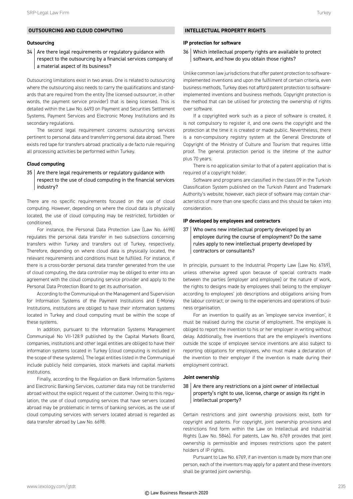#### **Outsourcing**

 $34$  Are there legal requirements or regulatory guidance with respect to the outsourcing by a financial services company of a material aspect of its business?

Outsourcing limitations exist in two areas. One is related to outsourcing where the outsourcing also needs to carry the qualifications and standards that are required from the entity (the licensed outsourcer, in other words, the payment service provider) that is being licensed. This is detailed within the Law No. 6493 on Payment and Securities Settlement Systems, Payment Services and Electronic Money Institutions and its secondary regulations.

The second legal requirement concerns outsourcing services pertinent to personal data and transferring personal data abroad. There exists red tape for transfers abroad: practically a de facto rule requiring all processing activities be performed within Turkey.

#### **Cloud computing**

#### $35$  Are there legal requirements or regulatory guidance with respect to the use of cloud computing in the financial services industry?

There are no specific requirements focused on the use of cloud computing. However, depending on where the cloud data is physically located, the use of cloud computing may be restricted, forbidden or conditioned.

For instance, the Personal Data Protection Law (Law No. 6698) regulates the personal data transfer in two subsections concerning transfers within Turkey and transfers out of Turkey, respectively. Therefore, depending on where cloud data is physically located, the relevant requirements and conditions must be fulfilled. For instance, if there is a cross-border personal data transfer generated from the use of cloud computing, the data controller may be obliged to enter into an agreement with the cloud computing service provider and apply to the Personal Data Protection Board to get its authorisation.

According to the Communiqué on the Management and Supervision for Information Systems of the Payment Institutions and E-Money Institutions, institutions are obliged to have their information systems located in Turkey and cloud computing must be within the scope of these systems.

In addition, pursuant to the Information Systems Management Communiqué No VII-128.9 published by the Capital Markets Board, companies, institutions and other legal entities are obliged to have their information systems located in Turkey (cloud computing is included in the scope of these systems). The legal entities listed in the Communiqué include publicly held companies, stock markets and capital markets institutions.

Finally, according to the Regulation on Bank Information Systems and Electronic Banking Services, customer data may not be transferred abroad without the explicit request of the customer. Owing to this regulation, the use of cloud computing services that have servers located abroad may be problematic in terms of banking services, as the use of cloud computing services with servers located abroad is regarded as data transfer abroad by Law No. 6698.

#### **INTELLECTUAL PROPERTY RIGHTS**

#### **IP protection for software**

36 Which intellectual property rights are available to protect software, and how do you obtain those rights?

Unlike common law jurisdictions that offer patent protection to softwareimplemented inventions and upon the fulfilment of certain criteria, even business methods, Turkey does not afford patent protection to softwareimplemented inventions and business methods. Copyright protection is the method that can be utilised for protecting the ownership of rights over software.

If a copyrighted work such as a piece of software is created, it is not compulsory to register it, and one owns the copyright and the protection at the time it is created or made public. Nevertheless, there is a non-compulsory registry system at the General Directorate of Copyright of the Ministry of Culture and Tourism that requires little proof. The general protection period is the lifetime of the author plus 70 years.

There is no application similar to that of a patent application that is required of a copyright holder.

Software and programs are classified in the class 09 in the Turkish Classification System published on the Turkish Patent and Trademark Authority's website; however, each piece of software may contain characteristics of more than one specific class and this should be taken into consideration.

#### **IP developed by employees and contractors**

37 Who owns new intellectual property developed by an employee during the course of employment? Do the same rules apply to new intellectual property developed by contractors or consultants?

In principle, pursuant to the Industrial Property Law (Law No. 6769), unless otherwise agreed upon because of special contracts made between the parties (employer and employee) or the nature of work, the rights to designs made by employees shall belong to the employer according to employees' job descriptions and obligations arising from the labour contract; or owing to the experiences and operations of business organisation.

For an invention to qualify as an 'employee service invention', it must be realised during the course of employment. The employee is obliged to report the invention to his or her employer in writing without delay. Additionally, free inventions that are the employee's inventions outside the scope of employee service inventions are also subject to reporting obligations for employees, who must make a declaration of the invention to their employer if the invention is made during their employment contract.

#### **Joint ownership**

#### $38$  Are there any restrictions on a joint owner of intellectual property's right to use, license, charge or assign its right in intellectual property?

Certain restrictions and joint ownership provisions exist, both for copyright and patents. For copyright, joint ownership provisions and restrictions find form within the Law on Intellectual and Industrial Rights (Law No. 5846). For patents, Law No. 6769 provides that joint ownership is permissible and imposes restrictions upon the patent holders of IP rights.

Pursuant to Law No. 6769, if an invention is made by more than one person, each of the inventors may apply for a patent and these inventors shall be granted joint ownership.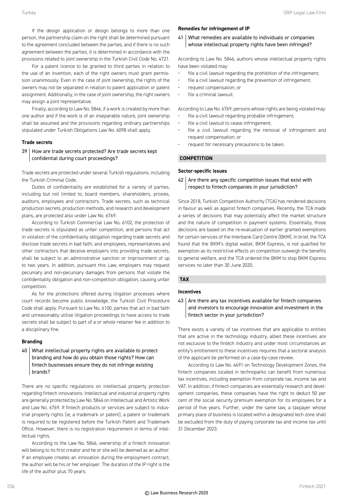If the design application or design belongs to more than one person, the partnership claim on the right shall be determined pursuant to the agreement concluded between the parties, and if there is no such agreement between the parties, it is determined in accordance with the provisions related to joint ownership in the Turkish Civil Code No. 4721.

For a patent licence to be granted to third parties in relation to the use of an invention, each of the right owners must grant permission unanimously. Even in the case of joint ownership, the rights of the owners may not be separated in relation to patent application or patent assignment. Additionally, in the case of joint ownership, the right owners may assign a joint representative.

Finally, according to Law No. 5846, if a work is created by more than one author and if the work is of an inseparable nature, joint ownership shall be assumed and the provisions regarding ordinary partnerships stipulated under Turkish Obligations Law No. 6098 shall apply.

#### **Trade secrets**

#### 39 How are trade secrets protected? Are trade secrets kept confidential during court proceedings?

Trade secrets are protected under several Turkish regulations, including the Turkish Criminal Code.

Duties of confidentiality are established for a variety of parties, including but not limited to, board members, shareholders, proxies, auditors, employees and contractors. Trade secrets, such as technical production secrets, production methods, and research and development plans, are protected also under Law No. 6769.

According to Turkish Commercial Law No. 6102, the protection of trade secrets is stipulated as unfair competition, and persons that act in violation of the confidentiality obligation regarding trade secrets and disclose trade secrets in bad faith; and employees, representatives and other contractors that deceive employers into providing trade secrets, shall be subject to an administrative sanction or imprisonment of up to two years. In addition, pursuant this Law, employers may request pecuniary and non-pecuniary damages from persons that violate the confidentiality obligation and non-competition obligation, causing unfair competition.

As for the protections offered during litigation processes where court records become public knowledge, the Turkish Civil Procedure Code shall apply. Pursuant to Law No. 6100, parties that act in bad faith and unreasonably utilise litigation proceedings to have access to trade secrets shall be subject to part of a or whole retainer fee in addition to a disciplinary fine.

#### **Branding**

 $40$  What intellectual property rights are available to protect branding and how do you obtain those rights? How can fintech businesses ensure they do not infringe existing brands?

There are no specific regulations on intellectual property protection regarding fintech innovations. Intellectual and industrial property rights are generally protected by Law No. 5846 on Intellectual and Artistic Work and Law No. 6769. If fintech products or services are subject to industrial property rights (ie, a trademark or patent), a patent or trademark is required to be registered before the Turkish Patent and Trademark Office. However, there is no registration requirement in terms of intellectual rights.

According to the Law No. 5846, ownership of a fintech innovation will belong to its first creator and he or she will be deemed as an author. If an employee creates an innovation during the employment contract, the author will be his or her employer. The duration of the IP right is the life of the author plus 70 years.

#### **Remedies for infringement of IP**

41 What remedies are available to individuals or companies whose intellectual property rights have been infringed?

According to Law No. 5846, authors whose intellectual property rights have been violated may:

- file a civil lawsuit regarding the prohibition of the infringement;
- file a civil lawsuit regarding the prevention of infringement;
- request compensation; or
- file a criminal lawsuit.

According to Law No. 6769, persons whose rights are being violated may:

- file a civil lawsuit regarding probable infringement;
- file a civil lawsuit to cease infringement;
- file a civil lawsuit regarding the removal of infringement and request compensation; or
- request for necessary precautions to be taken.

#### **COMPETITION**

#### **Sector-specific issues**

 $42$  Are there any specific competition issues that exist with respect to fintech companies in your jurisdiction?

Since 2018, Turkish Competition Authority (TCA) has rendered decisions in favour as well as against fintech companies. Recently, the TCA made a series of decisions that may potentially affect the market structure and the nature of competition in payment systems. Essentially, those decisions are based on the re-evaluation of earlier granted exemptions for certain services of the Interbank Card Centre (BKM). In brief, the TCA found that the BKM's digital wallet, BKM Express, is not qualified for exemption as its restrictive effects on competition outweigh the benefits to general welfare, and the TCA ordered the BKM to stop BKM Express services no later than 30 June 2020.

#### **TAX**

© Law Business Research 2020

#### **Incentives**

 $43$  Are there any tax incentives available for fintech companies and investors to encourage innovation and investment in the fintech sector in your jurisdiction?

There exists a variety of tax incentives that are applicable to entities that are active in the technology industry, albeit these incentives are not exclusive to the fintech industry and under most circumstances an entity's entitlement to these incentives requires that a sectoral analysis of the applicant be performed on a case-by-case review.

According to Law No. 4691 on Technology Development Zones, the fintech companies located in technoparks can benefit from numerous tax incentives, including exemption from corporate tax, income tax and VAT. In addition, if fintech companies are essentially research and development companies, these companies have the right to deduct 50 per cent of the social security premium exemption for its employees for a period of five years. Further, under the same law, a taxpayer whose primary place of business is located within a designated tech zone shall be excluded from the duty of paying corporate tax and income tax until 31 December 2023.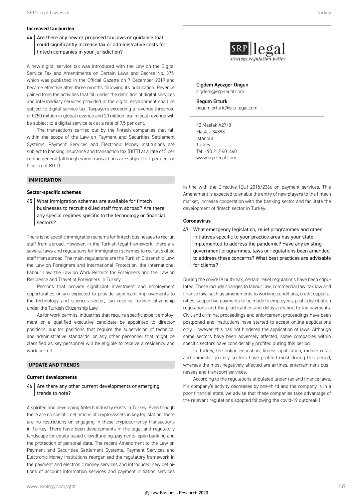#### **Increased tax burden**

 $44$  Are there any new or proposed tax laws or guidance that could significantly increase tax or administrative costs for fintech companies in your jurisdiction?

A new digital service tax was introduced with the Law on the Digital Service Tax and Amendments on Certain Laws and Decree No. 375, which was published in the Official Gazette on 7 December 2019 and became effective after three months following its publication. Revenue gained from the activities that fall under the definition of digital services and intermediary services provided in the digital environment shall be subject to digital service tax. Taxpayers exceeding a revenue threshold of €750 million in global revenue and 20 million lira in local revenue will be subject to a digital service tax at a rate of 7.5 per cent.

The transactions carried out by the fintech companies that fall within the scope of the Law on Payment and Securities Settlement Systems, Payment Services and Electronic Money Institutions are subject to banking insurance and transaction tax (BITT) at a rate of 5 per cent in general (although some transactions are subject to 1 per cent or 0 per cent BITT).

#### **IMMIGRATION**

#### **Sector-specific schemes**

45 What immigration schemes are available for fintech businesses to recruit skilled staff from abroad? Are there any special regimes specific to the technology or financial sectors?

There is no specific immigration scheme for fintech businesses to recruit staff from abroad. However, in the Turkish legal framework, there are several laws and regulations for immigration schemes to recruit skilled staff from abroad. The main regulations are the Turkish Citizenship Law, the Law on Foreigners and International Protection, the International Labour Law, the Law on Work Permits for Foreigners and the Law on Residence and Travel of Foreigners in Turkey.

Persons that provide significant investment and employment opportunities or are expected to provide significant improvements to the technology and sciences sector, can receive Turkish citizenship under the Turkish Citizenship Law.

As for work permits, industries that require specific expert employment or a qualified executive candidate be appointed to director positions, auditor positions that require the supervision of technical and administrative standards, or any other personnel that might be classified as key personnel will be eligible to receive a residency and work permit.

#### **UPDATE AND TRENDS**

#### **Current developments**

46 Are there any other current developments or emerging trends to note?

A spirited and developing fintech industry exists in Turkey. Even though there are no specific definitions of crypto-assets in key legislation, there are no restrictions on engaging in these cryptocurrency transactions in Turkey. There have been developments in the legal and regulatory landscape for equity-based crowdfunding, payments, open banking and the protection of personal data. The recent Amendment to the Law on Payment and Securities Settlement Systems, Payment Services and Electronic Money Institutions reorganised the regulatory framework in the payment and electronic money services and introduced new definitions of account information services and payment initiation services



Cigdem Ayozger Ongun cigdem@srp-legal.com

Begum Erturk begum.erturk@srp-legal.com

42 Maslak A27/8 Maslak 34398 Istanbul **Turkey** Tel: +90 212 4014401 www.srp-legal.com

in line with the Directive (EU) 2015/2366 on payment services. This Amendment is expected to enable the entry of new players to the fintech market, increase cooperation with the banking sector and facilitate the development of fintech sector in Turkey.

#### **Coronavirus**

47 What emergency legislation, relief programmes and other initiatives specific to your practice area has your state implemented to address the pandemic? Have any existing government programmes, laws or regulations been amended to address these concerns? What best practices are advisable for clients?

During the covid-19 outbreak, certain relief regulations have been stipulated. These include changes to labour law, commercial law, tax law and finance law, such as amendments to working conditions, credit opportunities, supportive payments to be made to employees, profit distribution regulations and the practicalities and delays relating to tax payments. Civil and criminal proceedings and enforcement proceedings have been postponed and institutions have started to accept online applications only. However, this has not hindered the application of laws. Although some sectors have been adversely affected, some companies within specific sectors have considerably profited during this period.

In Turkey, the online education, fitness application, mobile retail and domestic grocery sectors have profited most during this period, whereas the most negatively affected are airlines, entertainment businesses and transport services.

According to the regulations stipulated under tax and finance laws, if a company's activity decreases by one-third and the company is in a poor financial state, we advise that these companies take advantage of the relevant regulations adopted following the covid-19 outbreak.]